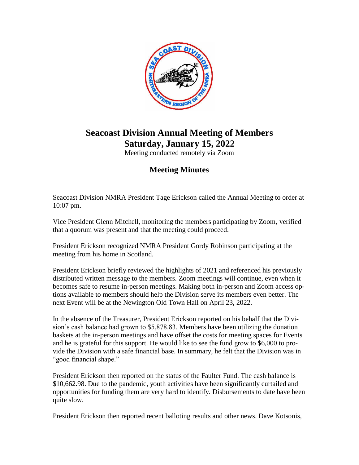

## **Seacoast Division Annual Meeting of Members Saturday, January 15, 2022**

Meeting conducted remotely via Zoom

## **Meeting Minutes**

Seacoast Division NMRA President Tage Erickson called the Annual Meeting to order at 10:07 pm.

Vice President Glenn Mitchell, monitoring the members participating by Zoom, verified that a quorum was present and that the meeting could proceed.

President Erickson recognized NMRA President Gordy Robinson participating at the meeting from his home in Scotland.

President Erickson briefly reviewed the highlights of 2021 and referenced his previously distributed written message to the members. Zoom meetings will continue, even when it becomes safe to resume in-person meetings. Making both in-person and Zoom access options available to members should help the Division serve its members even better. The next Event will be at the Newington Old Town Hall on April 23, 2022.

In the absence of the Treasurer, President Erickson reported on his behalf that the Division's cash balance had grown to \$5,878.83. Members have been utilizing the donation baskets at the in-person meetings and have offset the costs for meeting spaces for Events and he is grateful for this support. He would like to see the fund grow to \$6,000 to provide the Division with a safe financial base. In summary, he felt that the Division was in "good financial shape."

President Erickson then reported on the status of the Faulter Fund. The cash balance is \$10,662.98. Due to the pandemic, youth activities have been significantly curtailed and opportunities for funding them are very hard to identify. Disbursements to date have been quite slow.

President Erickson then reported recent balloting results and other news. Dave Kotsonis,